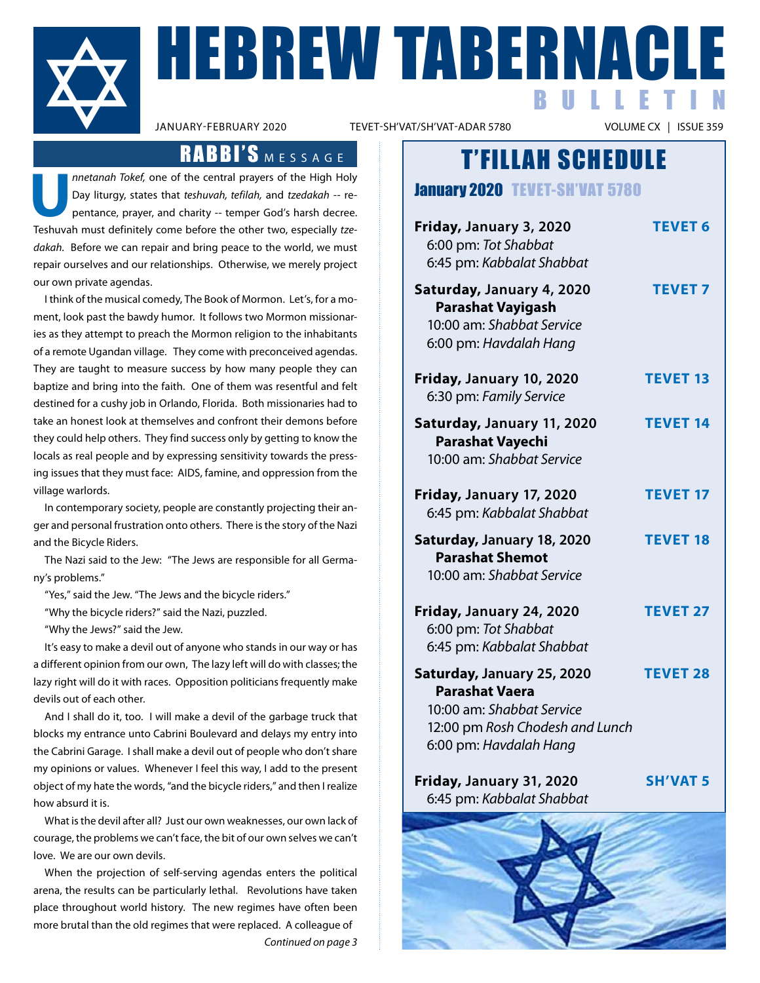

**HEBREW TABERNACLE** BULLETIN

TEVET-SH'VAT/SH'VAT-ADAR 5780

### RABBI'S MESSAGE

**U***nnetanah Tokef,* one of the central prayers of the High Holy Day liturgy, states that *teshuvah, tefilah,* and *tzedakah* -- repentance, prayer, and charity -- temper God's harsh decree. Teshuvah must definitely come before the other two, especially *tzedakah.* Before we can repair and bring peace to the world, we must repair ourselves and our relationships. Otherwise, we merely project our own private agendas.

I think of the musical comedy, The Book of Mormon. Let's, for a moment, look past the bawdy humor. It follows two Mormon missionaries as they attempt to preach the Mormon religion to the inhabitants of a remote Ugandan village. They come with preconceived agendas. They are taught to measure success by how many people they can baptize and bring into the faith. One of them was resentful and felt destined for a cushy job in Orlando, Florida. Both missionaries had to take an honest look at themselves and confront their demons before they could help others. They find success only by getting to know the locals as real people and by expressing sensitivity towards the pressing issues that they must face: AIDS, famine, and oppression from the village warlords.

In contemporary society, people are constantly projecting their anger and personal frustration onto others. There is the story of the Nazi and the Bicycle Riders.

 The Nazi said to the Jew: "The Jews are responsible for all Germany's problems."

"Yes," said the Jew. "The Jews and the bicycle riders."

"Why the bicycle riders?" said the Nazi, puzzled.

"Why the Jews?" said the Jew.

It's easy to make a devil out of anyone who stands in our way or has a different opinion from our own, The lazy left will do with classes; the lazy right will do it with races. Opposition politicians frequently make devils out of each other.

 And I shall do it, too. I will make a devil of the garbage truck that blocks my entrance unto Cabrini Boulevard and delays my entry into the Cabrini Garage. I shall make a devil out of people who don't share my opinions or values. Whenever I feel this way, I add to the present object of my hate the words, "and the bicycle riders," and then I realize how absurd it is.

What is the devil after all? Just our own weaknesses, our own lack of courage, the problems we can't face, the bit of our own selves we can't love. We are our own devils.

When the projection of self-serving agendas enters the political arena, the results can be particularly lethal. Revolutions have taken place throughout world history. The new regimes have often been more brutal than the old regimes that were replaced. A colleague of *Continued on page 3*

T'FILLAH SCHEDULE

January 2020 **TEVET-SH'VAT 5780** 

| Friday, January 3, 2020<br>6:00 pm: Tot Shabbat<br>6:45 pm: Kabbalat Shabbat                                                                  | <b>TEVET 6</b>  |
|-----------------------------------------------------------------------------------------------------------------------------------------------|-----------------|
| Saturday, January 4, 2020<br><b>Parashat Vayigash</b><br>10:00 am: Shabbat Service<br>6:00 pm: Havdalah Hang                                  | <b>TEVET 7</b>  |
| Friday, January 10, 2020<br>6:30 pm: Family Service                                                                                           | <b>TEVET 13</b> |
| Saturday, January 11, 2020<br><b>Parashat Vayechi</b><br>10:00 am: Shabbat Service                                                            | <b>TEVET 14</b> |
| Friday, January 17, 2020<br>6:45 pm: Kabbalat Shabbat                                                                                         | <b>TEVET 17</b> |
| Saturday, January 18, 2020<br><b>Parashat Shemot</b><br>10:00 am: Shabbat Service                                                             | <b>TEVET 18</b> |
| Friday, January 24, 2020<br>6:00 pm: Tot Shabbat<br>6:45 pm: Kabbalat Shabbat                                                                 | <b>TEVET 27</b> |
| Saturday, January 25, 2020<br><b>Parashat Vaera</b><br>10:00 am: Shabbat Service<br>12:00 pm Rosh Chodesh and Lunch<br>6:00 pm: Havdalah Hang | <b>TEVET 28</b> |
| Friday, January 31, 2020<br>6:45 pm: Kabbalat Shabbat                                                                                         | <b>SH'VAT 5</b> |

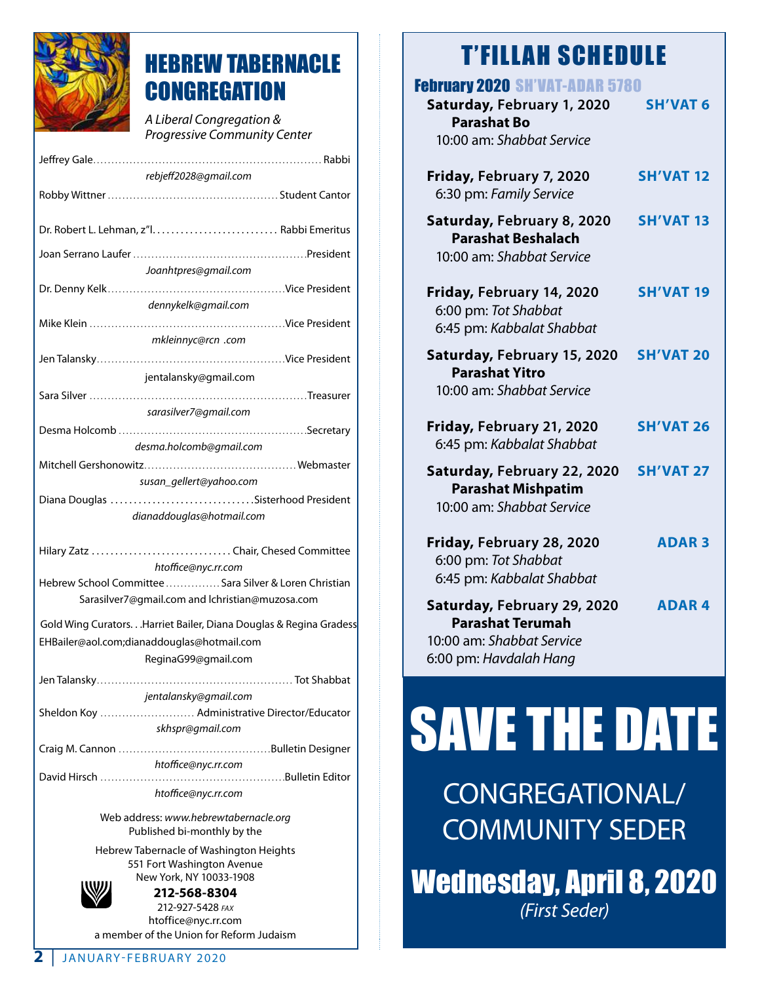

## HEBREW TABERNACLE **CONGREGATION**

*A Liberal Congregation & Progressive Community Center*

| rebjeff2028@gmail.com                                             |  |  |
|-------------------------------------------------------------------|--|--|
|                                                                   |  |  |
|                                                                   |  |  |
|                                                                   |  |  |
|                                                                   |  |  |
|                                                                   |  |  |
| Joanhtpres@gmail.com                                              |  |  |
|                                                                   |  |  |
|                                                                   |  |  |
| dennykelk@gmail.com                                               |  |  |
|                                                                   |  |  |
| mkleinnyc@rcn .com                                                |  |  |
|                                                                   |  |  |
| jentalansky@gmail.com                                             |  |  |
|                                                                   |  |  |
|                                                                   |  |  |
| sarasilver7@gmail.com                                             |  |  |
|                                                                   |  |  |
| desma.holcomb@gmail.com                                           |  |  |
|                                                                   |  |  |
| susan_gellert@yahoo.com                                           |  |  |
| Diana Douglas Sisterhood President                                |  |  |
|                                                                   |  |  |
| dianaddouglas@hotmail.com                                         |  |  |
|                                                                   |  |  |
| Hilary Zatz  Chair, Chesed Committee                              |  |  |
| htoffice@nyc.rr.com                                               |  |  |
| Hebrew School Committee  Sara Silver & Loren Christian            |  |  |
| Sarasilver7@gmail.com and lchristian@muzosa.com                   |  |  |
|                                                                   |  |  |
| Gold Wing Curators Harriet Bailer, Diana Douglas & Regina Gradess |  |  |
| EHBailer@aol.com;dianaddouglas@hotmail.com                        |  |  |
| ReginaG99@gmail.com                                               |  |  |
|                                                                   |  |  |
| jentalansky@gmail.com                                             |  |  |
| Sheldon Koy  Administrative Director/Educator                     |  |  |
| skhspr@gmail.com                                                  |  |  |
|                                                                   |  |  |
|                                                                   |  |  |
| htoffice@nyc.rr.com                                               |  |  |
|                                                                   |  |  |
| htoffice@nyc.rr.com                                               |  |  |
|                                                                   |  |  |

Web address: *www.hebrewtabernacle.org* Published bi-monthly by the

Hebrew Tabernacle of Washington Heights 551 Fort Washington Avenue New York, NY 10033-1908



**212-568-8304** 212-927-5428 *fax* htoffice@nyc.rr.com a member of the Union for Reform Judaism

## T'FILLAH SCHEDULE

| <b>February 2020 SH'VAT-ADAR 5780</b><br>Saturday, February 1, 2020<br><b>Parashat Bo</b><br>10:00 am: Shabbat Service | <b>SH'VAT 6</b>  |
|------------------------------------------------------------------------------------------------------------------------|------------------|
| Friday, February 7, 2020<br>6:30 pm: Family Service                                                                    | <b>SH'VAT 12</b> |
| Saturday, February 8, 2020<br><b>Parashat Beshalach</b><br>10:00 am: Shabbat Service                                   | <b>SH'VAT 13</b> |
| Friday, February 14, 2020<br>6:00 pm: Tot Shabbat<br>6:45 pm: Kabbalat Shabbat                                         | <b>SH'VAT 19</b> |
| Saturday, February 15, 2020<br><b>Parashat Yitro</b><br>10:00 am: Shabbat Service                                      | <b>SH'VAT 20</b> |
| Friday, February 21, 2020<br>6:45 pm: Kabbalat Shabbat                                                                 | <b>SH'VAT 26</b> |
| Saturday, February 22, 2020<br><b>Parashat Mishpatim</b><br>10:00 am: Shabbat Service                                  | <b>SH'VAT 27</b> |
| Friday, February 28, 2020<br>6:00 pm: Tot Shabbat<br>6:45 pm: Kabbalat Shabbat                                         | <b>ADAR3</b>     |
| Saturday, February 29, 2020<br><b>Parashat Terumah</b><br>10:00 am: Shabbat Service<br>6:00 pm: Havdalah Hang          | <b>ADAR4</b>     |

# SAVE THE DATE

CONGREGATIONAL/ COMMUNITY SEDER

Wednesday, April 8, 2020 *(First Seder)*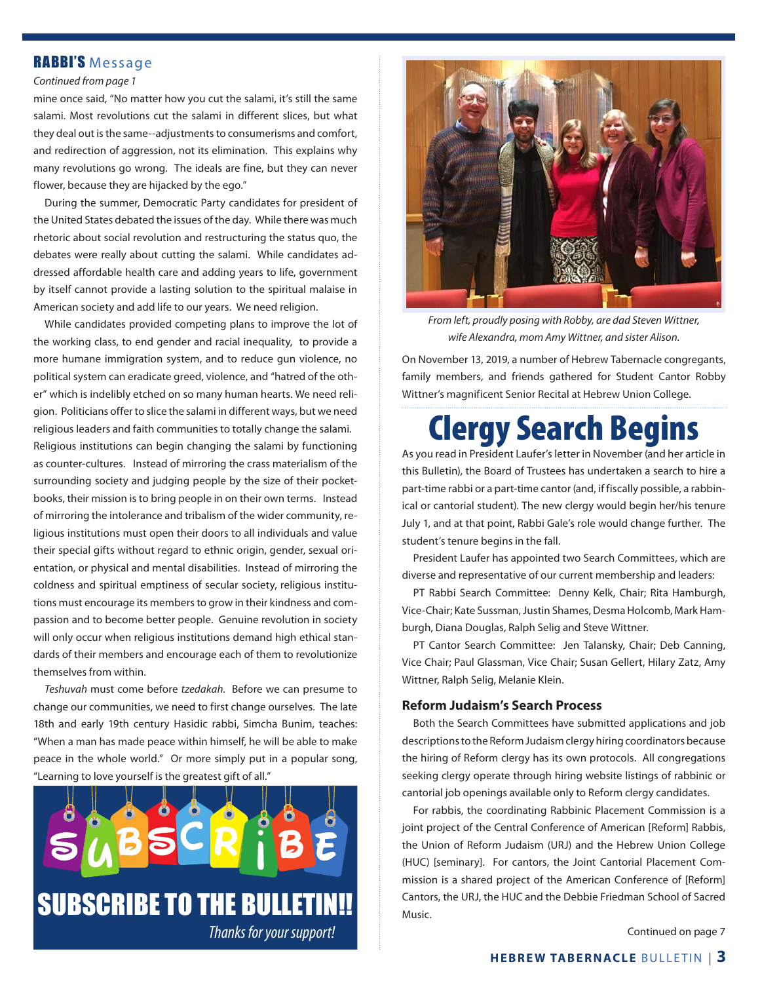#### RABBI'S Message

#### *Continued from page 1*

mine once said, "No matter how you cut the salami, it's still the same salami. Most revolutions cut the salami in different slices, but what they deal out is the same--adjustments to consumerisms and comfort, and redirection of aggression, not its elimination. This explains why many revolutions go wrong. The ideals are fine, but they can never flower, because they are hijacked by the ego."

During the summer, Democratic Party candidates for president of the United States debated the issues of the day. While there was much rhetoric about social revolution and restructuring the status quo, the debates were really about cutting the salami. While candidates addressed affordable health care and adding years to life, government by itself cannot provide a lasting solution to the spiritual malaise in American society and add life to our years. We need religion.

While candidates provided competing plans to improve the lot of the working class, to end gender and racial inequality, to provide a more humane immigration system, and to reduce gun violence, no political system can eradicate greed, violence, and "hatred of the other" which is indelibly etched on so many human hearts. We need religion. Politicians offer to slice the salami in different ways, but we need religious leaders and faith communities to totally change the salami. Religious institutions can begin changing the salami by functioning as counter-cultures. Instead of mirroring the crass materialism of the surrounding society and judging people by the size of their pocketbooks, their mission is to bring people in on their own terms. Instead of mirroring the intolerance and tribalism of the wider community, religious institutions must open their doors to all individuals and value their special gifts without regard to ethnic origin, gender, sexual orientation, or physical and mental disabilities. Instead of mirroring the coldness and spiritual emptiness of secular society, religious institutions must encourage its members to grow in their kindness and compassion and to become better people. Genuine revolution in society will only occur when religious institutions demand high ethical standards of their members and encourage each of them to revolutionize themselves from within.

*Teshuvah* must come before *tzedakah*. Before we can presume to change our communities, we need to first change ourselves. The late 18th and early 19th century Hasidic rabbi, Simcha Bunim, teaches: "When a man has made peace within himself, he will be able to make peace in the whole world." Or more simply put in a popular song, "Learning to love yourself is the greatest gift of all."





*From left, proudly posing with Robby, are dad Steven Wittner, wife Alexandra, mom Amy Wittner, and sister Alison.*

On November 13, 2019, a number of Hebrew Tabernacle congregants, family members, and friends gathered for Student Cantor Robby Wittner's magnificent Senior Recital at Hebrew Union College.

## Clergy Search Begins

As you read in President Laufer's letter in November (and her article in this Bulletin), the Board of Trustees has undertaken a search to hire a part-time rabbi or a part-time cantor (and, if fiscally possible, a rabbinical or cantorial student). The new clergy would begin her/his tenure July 1, and at that point, Rabbi Gale's role would change further. The student's tenure begins in the fall.

President Laufer has appointed two Search Committees, which are diverse and representative of our current membership and leaders:

PT Rabbi Search Committee: Denny Kelk, Chair; Rita Hamburgh, Vice-Chair; Kate Sussman, Justin Shames, Desma Holcomb, Mark Hamburgh, Diana Douglas, Ralph Selig and Steve Wittner.

PT Cantor Search Committee: Jen Talansky, Chair; Deb Canning, Vice Chair; Paul Glassman, Vice Chair; Susan Gellert, Hilary Zatz, Amy Wittner, Ralph Selig, Melanie Klein.

#### **Reform Judaism's Search Process**

Both the Search Committees have submitted applications and job descriptions to the Reform Judaism clergy hiring coordinators because the hiring of Reform clergy has its own protocols. All congregations seeking clergy operate through hiring website listings of rabbinic or cantorial job openings available only to Reform clergy candidates.

For rabbis, the coordinating Rabbinic Placement Commission is a joint project of the Central Conference of American [Reform] Rabbis, the Union of Reform Judaism (URJ) and the Hebrew Union College (HUC) [seminary]. For cantors, the Joint Cantorial Placement Commission is a shared project of the American Conference of [Reform] Cantors, the URJ, the HUC and the Debbie Friedman School of Sacred Music.

Continued on page 7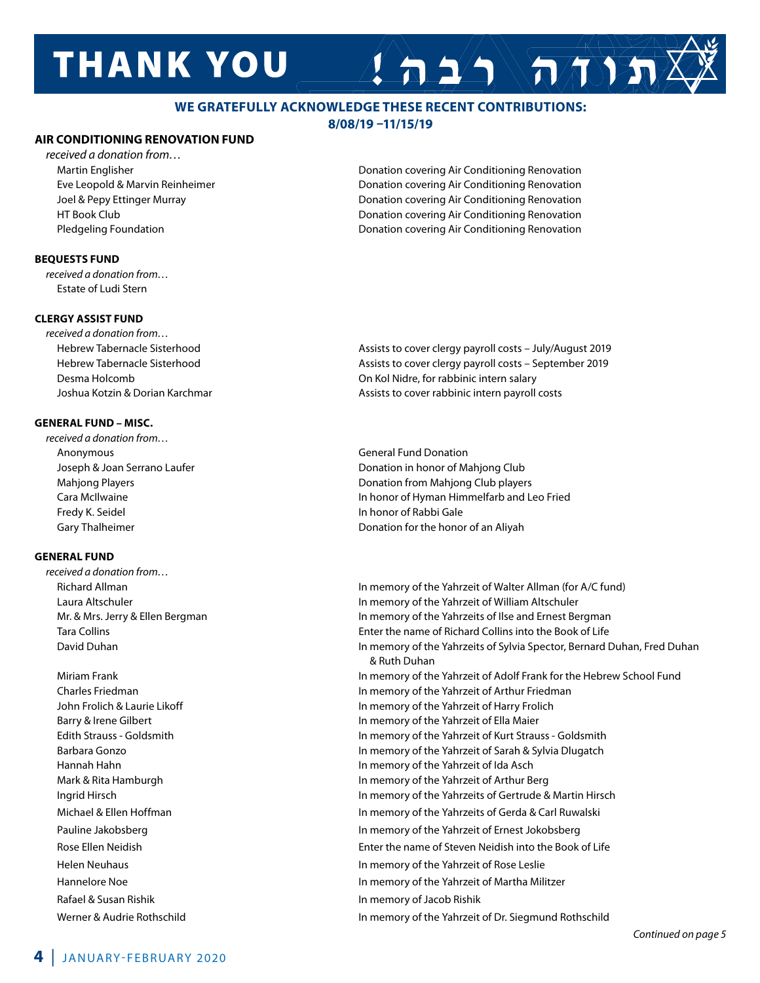## **THANK YOU**

#### **WE GRATEFULLY ACKNOWLEDGE THESE RECENT CONTRIBUTIONS:**

#### **8/08/19 –11/15/19**

#### **AIR CONDITIONING RENOVATION FUND**

*received a donation from…*

#### **BEQUESTS FUND**

*received a donation from…* Estate of Ludi Stern

#### **CLERGY ASSIST FUND**

*received a donation from…*

#### **GENERAL FUND – MISC.**

*received a donation from…* Anonymous **General Fund Donation** General Fund Donation Fredy K. Seidel **In honor of Rabbi Gale** 

#### **GENERAL FUND**

*received a donation from…*

Rafael & Susan Rishik In memory of Jacob Rishik

 Martin Englisher Donation covering Air Conditioning Renovation Eve Leopold & Marvin Reinheimer Donation covering Air Conditioning Renovation Joel & Pepy Ettinger Murray Donation covering Air Conditioning Renovation HT Book Club Donation covering Air Conditioning Renovation Pledgeling Foundation Donation covering Air Conditioning Renovation

 $\Delta \geq 2$ 

 Hebrew Tabernacle Sisterhood Assists to cover clergy payroll costs – July/August 2019 Hebrew Tabernacle Sisterhood Assists to cover clergy payroll costs – September 2019 Desma Holcomb On Kol Nidre, for rabbinic intern salary Joshua Kotzin & Dorian Karchmar **Assists to cover rabbinic intern payroll costs** Assists to cover rabbinic intern payroll costs

 Joseph & Joan Serrano Laufer Donation in honor of Mahjong Club Mahjong Players **Donation from Mahjong Club players** Donation from Mahjong Club players Cara McIlwaine In honor of Hyman Himmelfarb and Leo Fried Gary Thalheimer **Donation for the honor of an Aliyah** Donation for the honor of an Aliyah

Richard Allman **In memory of the Yahrzeit of Walter Allman** (for A/C fund) Laura Altschuler In memory of the Yahrzeit of William Altschuler Mr. & Mrs. Jerry & Ellen Bergman **In Mexican In Memory of the Yahrzeits of Ilse and Ernest Bergman**  Tara Collins Enter the name of Richard Collins into the Book of Life David Duhan In memory of the Yahrzeits of Sylvia Spector, Bernard Duhan, Fred Duhan & Ruth Duhan Miriam Frank In memory of the Yahrzeit of Adolf Frank for the Hebrew School Fund Charles Friedman In memory of the Yahrzeit of Arthur Friedman John Frolich & Laurie Likoff In memory of the Yahrzeit of Harry Frolich Barry & Irene Gilbert **In memory of the Yahrzeit of Ella Maier** In memory of the Yahrzeit of Ella Maier Edith Strauss - Goldsmith In memory of the Yahrzeit of Kurt Strauss - Goldsmith Barbara Gonzo In memory of the Yahrzeit of Sarah & Sylvia Dlugatch Hannah Hahn In memory of the Yahrzeit of Ida Asch Mark & Rita Hamburgh **In memory of the Yahrzeit of Arthur Berg** In memory of the Yahrzeit of Arthur Berg Ingrid Hirsch In memory of the Yahrzeits of Gertrude & Martin Hirsch Michael & Ellen Hoffman **In memory of the Yahrzeits of Gerda & Carl Ruwalski**n Michael & Carl Ruwalski Pauline Jakobsberg **In memory of the Yahrzeit of Ernest Jokobsberg** In memory of the Yahrzeit of Ernest Jokobsberg Rose Ellen Neidish Enter the name of Steven Neidish into the Book of Life Helen Neuhaus In memory of the Yahrzeit of Rose Leslie Hannelore Noe **In memory of the Yahrzeit of Martha Militzer** Werner & Audrie Rothschild In memory of the Yahrzeit of Dr. Siegmund Rothschild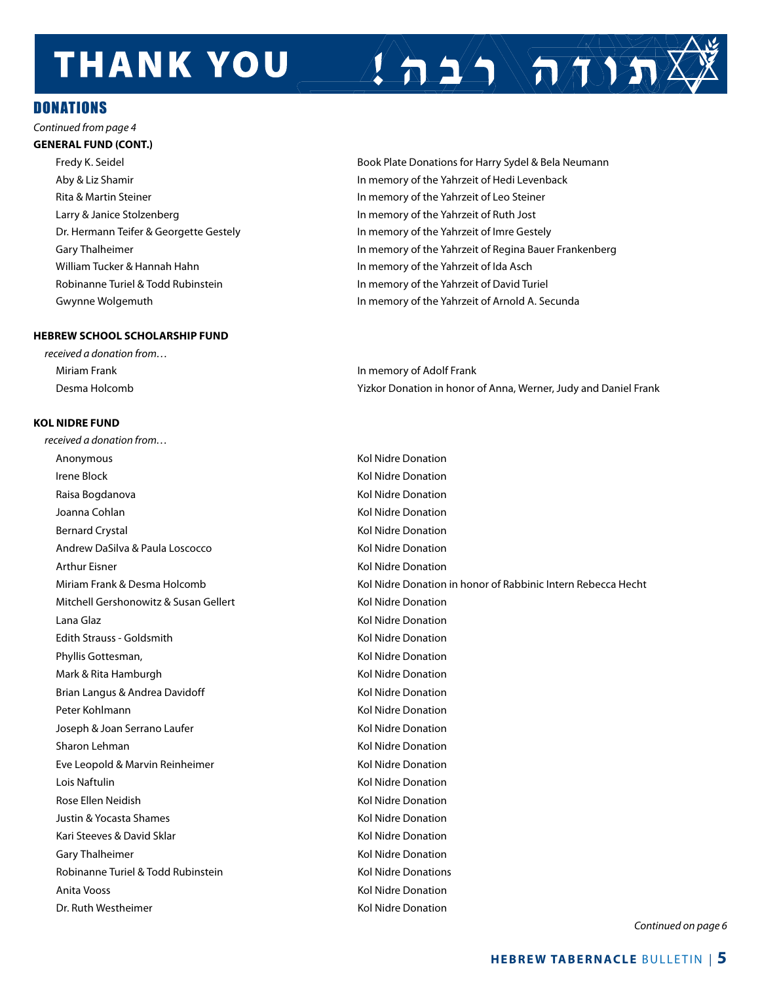## **THANK YOU**



#### Donations

*Continued from page 4*

#### **GENERAL FUND (CONT.)**

Rita & Martin Steiner **In memory of the Yahrzeit of Leo Steiner** In memory of the Yahrzeit of Leo Steiner Larry & Janice Stolzenberg **In memory of the Yahrzeit of Ruth Jost** William Tucker & Hannah Hahn **In Museum 1988** In memory of the Yahrzeit of Ida Asch Robinanne Turiel & Todd Rubinstein **In Markow In Memory of the Yahrzeit of David Turiel** 

#### **HEBREW SCHOOL SCHOLARSHIP FUND**

*received a donation from…* Miriam Frank In memory of Adolf Frank Desma Holcomb Yizkor Donation in honor of Anna, Werner, Judy and Daniel Frank

#### **KOL NIDRE FUND**

*received a donation from…* Anonymous and the contract of the Contract of the Contract of the Contract of the Contract of the Contract of the Contract of the Contract of the Contract of the Contract of the Contract of the Contract of the Contract of Irene Block **Kolly Accord Contract Contract Contract Contract Contract Contract Contract Contract Contract Contract Contract Contract Contract Contract Contract Contract Contract Contract Contract Contract Contract Contrac** Raisa Bogdanova **Kol Nidre Donation** Joanna Cohlan Kol Nidre Donation Bernard Crystal North Communication Communication New York Communication New York Communication Andrew DaSilva & Paula Loscocco New York Nidre Donation Arthur Eisner Kolley and The Control of the Middle Donation Arthur Eisner Kolley and The Middle Donation Mitchell Gershonowitz & Susan Gellert Kol Nidre Donation Lana Glaz **Kol Nidre Donation** Edith Strauss - Goldsmith Kol Nidre Donation Communist Communist Communist Communist Communist Communist Communist Communist Communist Communist Communist Communist Communist Communist Communist Communist Communist Communi Phyllis Gottesman, The Community of the United States of the Midre Donation Mark & Rita Hamburgh **Kol Nidre Donation** Kol Nidre Donation Brian Langus & Andrea Davidoff **Kolley and Access Andrea** Kol Nidre Donation Peter Kohlmann Kol Nidre Donation Joseph & Joan Serrano Laufer Kol Nidre Donation Sharon Lehman Kol Nidre Donation New York 1980 and Kol Nidre Donation Eve Leopold & Marvin Reinheimer **Kol Nidre Donation** Kol Nidre Donation Lois Naftulin Kol Nidre Donation Rose Ellen Neidish Kol Nidre Donation Justin & Yocasta Shames **Kol Nidre Donation** Kol Nidre Donation Kari Steeves & David Sklar Kollah Kol Nidre Donation Gary Thalheimer **Kollah Exception** Care Kol Nidre Donation Robinanne Turiel & Todd Rubinstein Kol Nidre Donations Anita Vooss **Kollandisch II** Anita Vooss **Kollandisch II** Anita Vooss **Kollandisch II** Anita Vooss **Kollandisch II** Anita Voors Dr. Ruth Westheimer North Communication Communication New York Nidre Donation

 Fredy K. Seidel Book Plate Donations for Harry Sydel & Bela Neumann Aby & Liz Shamir In memory of the Yahrzeit of Hedi Levenback Dr. Hermann Teifer & Georgette Gestely **In memory of the Yahrzeit of Imre Gestely** Gary Thalheimer **In memory of the Yahrzeit of Regina Bauer Frankenberg In memory of the Yahrzeit of Regina Bauer Frankenberg** Gwynne Wolgemuth **In memory of the Yahrzeit of Arnold A. Secunda** 

Miriam Frank & Desma Holcomb Kol Nidre Donation in honor of Rabbinic Intern Rebecca Hecht

*Continued on page 6*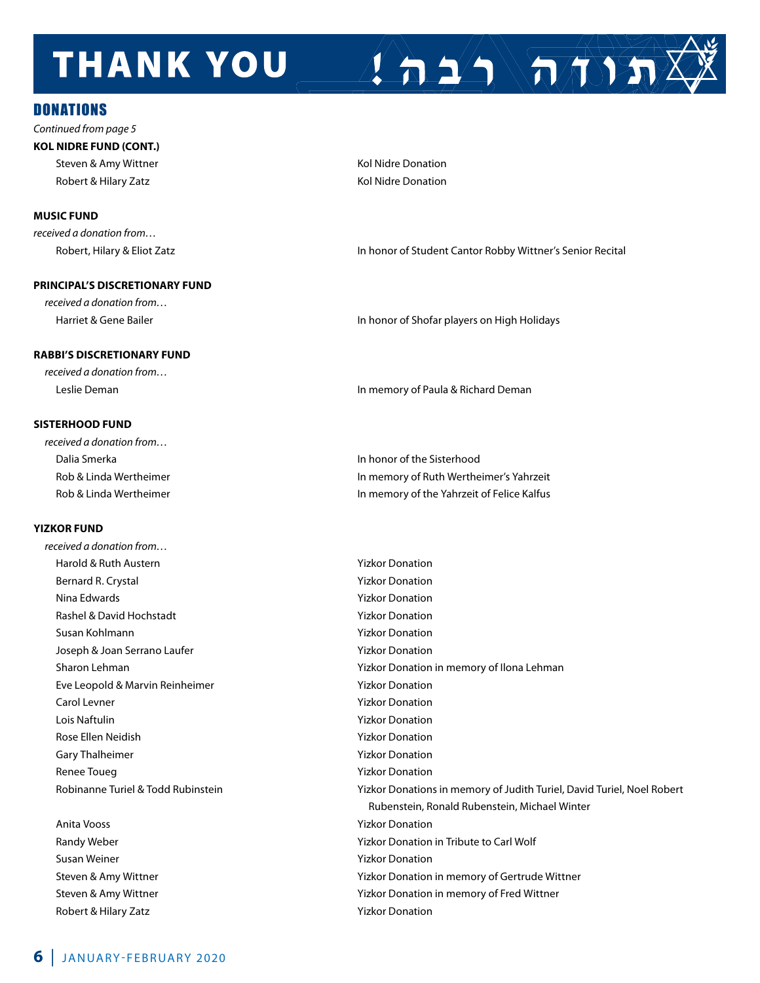## **THANK YOU**

#### **DONATIONS**

*Continued from page 5* **KOL NIDRE FUND (CONT.)**

Robert & Hilary Zatz **Kol Nidre Donation Kol Nidre Donation** 

#### **MUSIC FUND**

*received a donation from…* 

#### **PRINCIPAL'S DISCRETIONARY FUND**

*received a donation from…* 

#### **RABBI'S DISCRETIONARY FUND**

*received a donation from…*

#### **SISTERHOOD FUND**

| received a donation from |                                            |
|--------------------------|--------------------------------------------|
| Dalia Smerka             | In honor of the Sisterhood                 |
| Rob & Linda Wertheimer   | In memory of Ruth Wertheimer's Yahrzeit    |
| Rob & Linda Wertheimer   | In memory of the Yahrzeit of Felice Kalfus |

#### **YIZKOR FUND**

*received a donation from…*  Harold & Ruth Austern **Yizkor Donation** Bernard R. Crystal **Business Community** Pizkor Donation Nina Edwards Yizkor Donation Rashel & David Hochstadt Xandrey Yizkor Donation Susan Kohlmann Yizkor Donation Joseph & Joan Serrano Laufer Theorem Number of Yizkor Donation Eve Leopold & Marvin Reinheimer Vizkor Donation Carol Levner National Carol Levner National Carol Levner National Accord National Accord Vizkor Donation Lois Naftulin Yizkor Donation Rose Ellen Neidish **Yizkor Donation** Gary Thalheimer **Yizkor Donation** Renee Toueg National Communication Communication Network Communication Network Communication

Susan Weiner National Susan Weiner National Susan Weiner Weiner Weiner Weiner Weiner Weiner Weiner Weiner Wein<br>
Textus Susan Weiner National Susan Weiner Weiner Weiner Weiner Weiner Weiner Weiner Weiner Weiner Weiner Wein Robert & Hilary Zatz **Yizkor Donation Properties** 

Robert, Hilary & Eliot Zatz **In honor of Student Cantor Robby Wittner's Senior Recital** 

 $\left( \left. \right. \right. \left. \right)$   $\left( \left. \right. \right. \left. \left. \right)$ 

Harriet & Gene Bailer **In honor of Shofar players on High Holidays** In honor of Shofar players on High Holidays

Leslie Deman In memory of Paula & Richard Deman

 Sharon Lehman Yizkor Donation in memory of Ilona Lehman Robinanne Turiel & Todd Rubinstein Yizkor Donations in memory of Judith Turiel, David Turiel, Noel Robert Rubenstein, Ronald Rubenstein, Michael Winter Anita Vooss Yizkor Donation Randy Weber **The Community Community Community** Present Management Principle in Tribute to Carl Wolf Steven & Amy Wittner Theorem Theorem 2012 Constant Microsoft Constant Microsoft Constant Microsoft Constant Microsoft Constant Microsoft Constant Microsoft Constant Microsoft Constant Microsoft Constant Microsoft Constant Steven & Amy Wittner Yizkor Donation in memory of Fred Wittner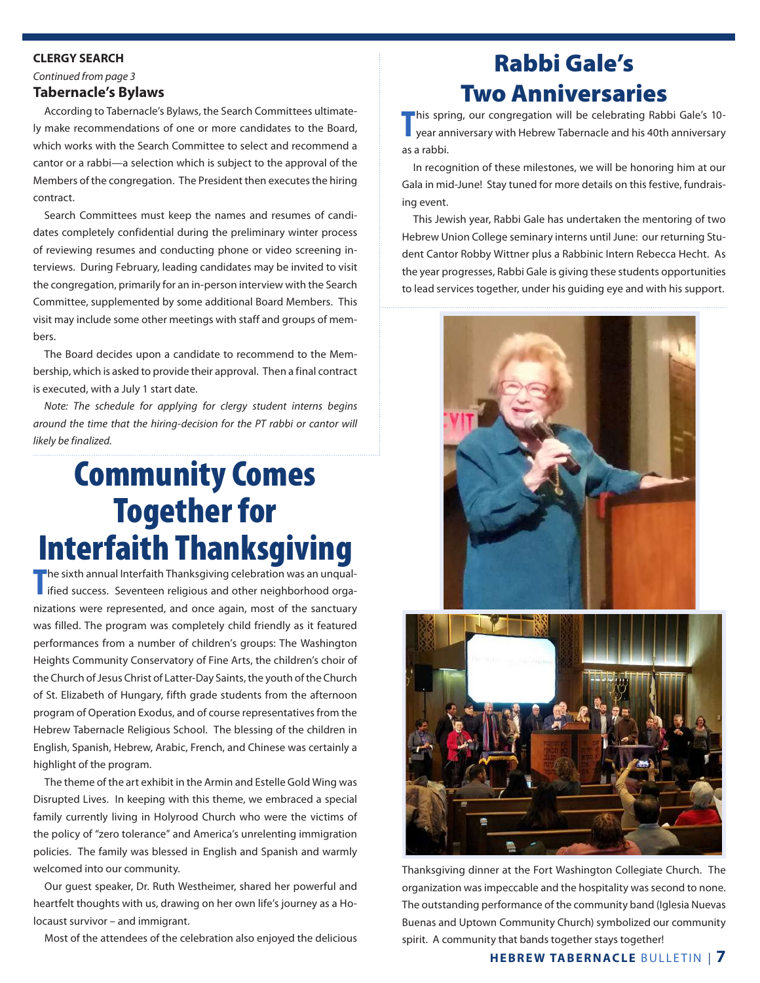#### **CLERGY SEARCH**

*Continued from page 3*

#### **Tabernacle's Bylaws**

According to Tabernacle's Bylaws, the Search Committees ultimately make recommendations of one or more candidates to the Board, which works with the Search Committee to select and recommend a cantor or a rabbi—a selection which is subject to the approval of the Members of the congregation. The President then executes the hiring contract.

Search Committees must keep the names and resumes of candidates completely confidential during the preliminary winter process of reviewing resumes and conducting phone or video screening interviews. During February, leading candidates may be invited to visit the congregation, primarily for an in-person interview with the Search Committee, supplemented by some additional Board Members. This visit may include some other meetings with staff and groups of members.

The Board decides upon a candidate to recommend to the Membership, which is asked to provide their approval. Then a final contract is executed, with a July 1 start date.

*Note: The schedule for applying for clergy student interns begins around the time that the hiring-decision for the PT rabbi or cantor will likely be finalized.*

## Community Comes Together for Interfaith Thanksgiving

**The sixth annual Interfaith Thanksgiving celebration was an unqual-<br>
ified success. Seventeen religious and other neighborhood orga**ified success. Seventeen religious and other neighborhood organizations were represented, and once again, most of the sanctuary was filled. The program was completely child friendly as it featured performances from a number of children's groups: The Washington Heights Community Conservatory of Fine Arts, the children's choir of the Church of Jesus Christ of Latter-Day Saints, the youth of the Church of St. Elizabeth of Hungary, fifth grade students from the afternoon program of Operation Exodus, and of course representatives from the Hebrew Tabernacle Religious School. The blessing of the children in English, Spanish, Hebrew, Arabic, French, and Chinese was certainly a highlight of the program.

The theme of the art exhibit in the Armin and Estelle Gold Wing was Disrupted Lives. In keeping with this theme, we embraced a special family currently living in Holyrood Church who were the victims of the policy of "zero tolerance" and America's unrelenting immigration policies. The family was blessed in English and Spanish and warmly welcomed into our community.

Our guest speaker, Dr. Ruth Westheimer, shared her powerful and heartfelt thoughts with us, drawing on her own life's journey as a Holocaust survivor – and immigrant.

Most of the attendees of the celebration also enjoyed the delicious

## Rabbi Gale's Two Anniversaries

**This spring, our congregation will be celebrating Rabbi Gale's 10-<br>
year anniversary with Hebrew Tabernacle and his 40th anniversary** year anniversary with Hebrew Tabernacle and his 40th anniversary as a rabbi.

In recognition of these milestones, we will be honoring him at our Gala in mid-June! Stay tuned for more details on this festive, fundraising event.

This Jewish year, Rabbi Gale has undertaken the mentoring of two Hebrew Union College seminary interns until June: our returning Student Cantor Robby Wittner plus a Rabbinic Intern Rebecca Hecht. As the year progresses, Rabbi Gale is giving these students opportunities to lead services together, under his guiding eye and with his support.



Thanksgiving dinner at the Fort Washington Collegiate Church. The organization was impeccable and the hospitality was second to none. The outstanding performance of the community band (Iglesia Nuevas Buenas and Uptown Community Church) symbolized our community spirit. A community that bands together stays together!

#### **HEBREW TABERNACLE** BULLETIN | **7**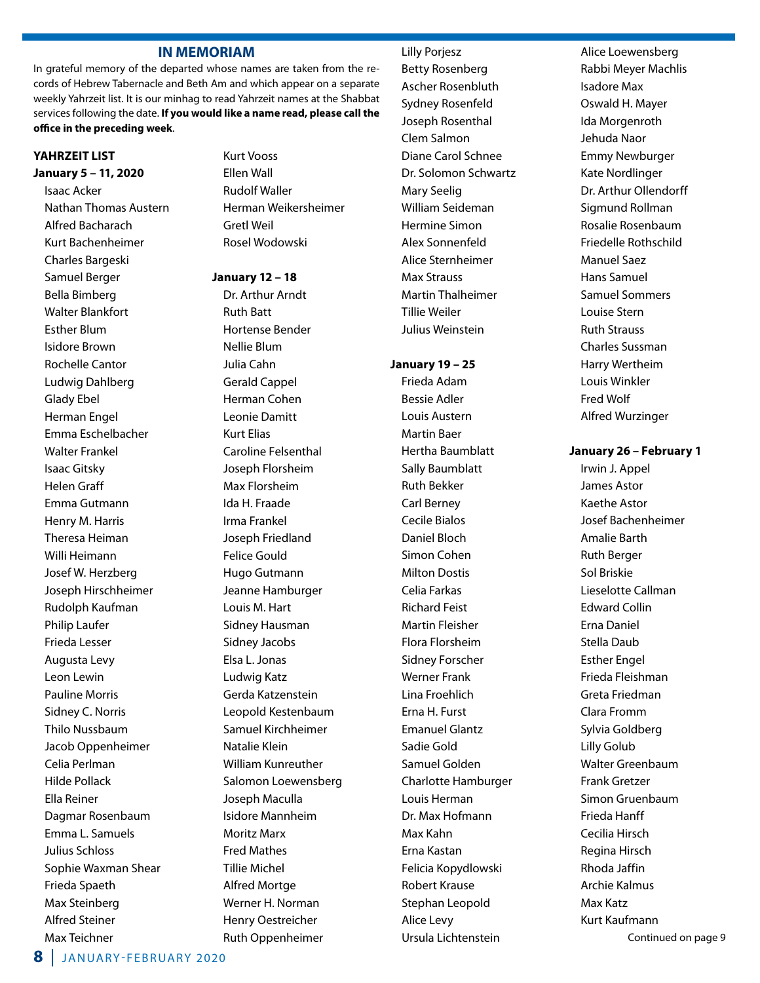#### **IN MEMORIAM**

In grateful memory of the departed whose names are taken from the records of Hebrew Tabernacle and Beth Am and which appear on a separate weekly Yahrzeit list. It is our minhag to read Yahrzeit names at the Shabbat services following the date. **If you would like a name read, please call the office in the preceding week**.

#### **YAHRZEIT LIST**

**January 5 – 11, 2020** Isaac Acker Nathan Thomas Austern Alfred Bacharach Kurt Bachenheimer Charles Bargeski Samuel Berger Bella Bimberg Walter Blankfort Esther Blum Isidore Brown Rochelle Cantor Ludwig Dahlberg Glady Ebel Herman Engel Emma Eschelbacher Walter Frankel Isaac Gitsky Helen Graff Emma Gutmann Henry M. Harris Theresa Heiman Willi Heimann Josef W. Herzberg Joseph Hirschheimer Rudolph Kaufman Philip Laufer Frieda Lesser Augusta Levy Leon Lewin Pauline Morris Sidney C. Norris Thilo Nussbaum Jacob Oppenheimer Celia Perlman Hilde Pollack Ella Reiner Dagmar Rosenbaum Emma L. Samuels Julius Schloss Sophie Waxman Shear Frieda Spaeth Max Steinberg Alfred Steiner Max Teichner

Kurt Vooss Ellen Wall Rudolf Waller Herman Weikersheimer Gretl Weil Rosel Wodowski

#### **January 12 – 18**

 Dr. Arthur Arndt Ruth Batt Hortense Bender Nellie Blum Julia Cahn Gerald Cappel Herman Cohen Leonie Damitt Kurt Elias Caroline Felsenthal Joseph Florsheim Max Florsheim Ida H. Fraade Irma Frankel Joseph Friedland Felice Gould Hugo Gutmann Jeanne Hamburger Louis M. Hart Sidney Hausman Sidney Jacobs Elsa L. Jonas Ludwig Katz Gerda Katzenstein Leopold Kestenbaum Samuel Kirchheimer Natalie Klein William Kunreuther Salomon Loewensberg Joseph Maculla Isidore Mannheim Moritz Marx Fred Mathes Tillie Michel Alfred Mortge Werner H. Norman Henry Oestreicher Ruth Oppenheimer

 Betty Rosenberg Ascher Rosenbluth Sydney Rosenfeld Joseph Rosenthal Clem Salmon Diane Carol Schnee Dr. Solomon Schwartz Mary Seelig William Seideman Hermine Simon Alex Sonnenfeld Alice Sternheimer Max Strauss Martin Thalheimer Tillie Weiler

Lilly Porjesz

#### **January 19 – 25**

Julius Weinstein

 Frieda Adam Bessie Adler Louis Austern Martin Baer Hertha Baumblatt Sally Baumblatt Ruth Bekker Carl Berney Cecile Bialos Daniel Bloch Simon Cohen Milton Dostis Celia Farkas Richard Feist Martin Fleisher Flora Florsheim Sidney Forscher Werner Frank Lina Froehlich Erna H. Furst Emanuel Glantz Sadie Gold Samuel Golden Charlotte Hamburger Louis Herman Dr. Max Hofmann Max Kahn Erna Kastan Felicia Kopydlowski Robert Krause Stephan Leopold Alice Levy Ursula Lichtenstein

 Alice Loewensberg Rabbi Meyer Machlis Isadore Max Oswald H. Mayer Ida Morgenroth Jehuda Naor Emmy Newburger Kate Nordlinger Dr. Arthur Ollendorff Sigmund Rollman Rosalie Rosenbaum Friedelle Rothschild Manuel Saez Hans Samuel Samuel Sommers Louise Stern Ruth Strauss Charles Sussman Harry Wertheim Louis Winkler Fred Wolf Alfred Wurzinger

#### **January 26 – February 1**

Irwin J. Appel James Astor Kaethe Astor Josef Bachenheimer Amalie Barth Ruth Berger Sol Briskie Lieselotte Callman Edward Collin Erna Daniel Stella Daub Esther Engel Frieda Fleishman Greta Friedman Clara Fromm Sylvia Goldberg Lilly Golub Walter Greenbaum Frank Gretzer Simon Gruenbaum Frieda Hanff Cecilia Hirsch Regina Hirsch Rhoda Jaffin Archie Kalmus Max Katz Kurt Kaufmann Continued on page 9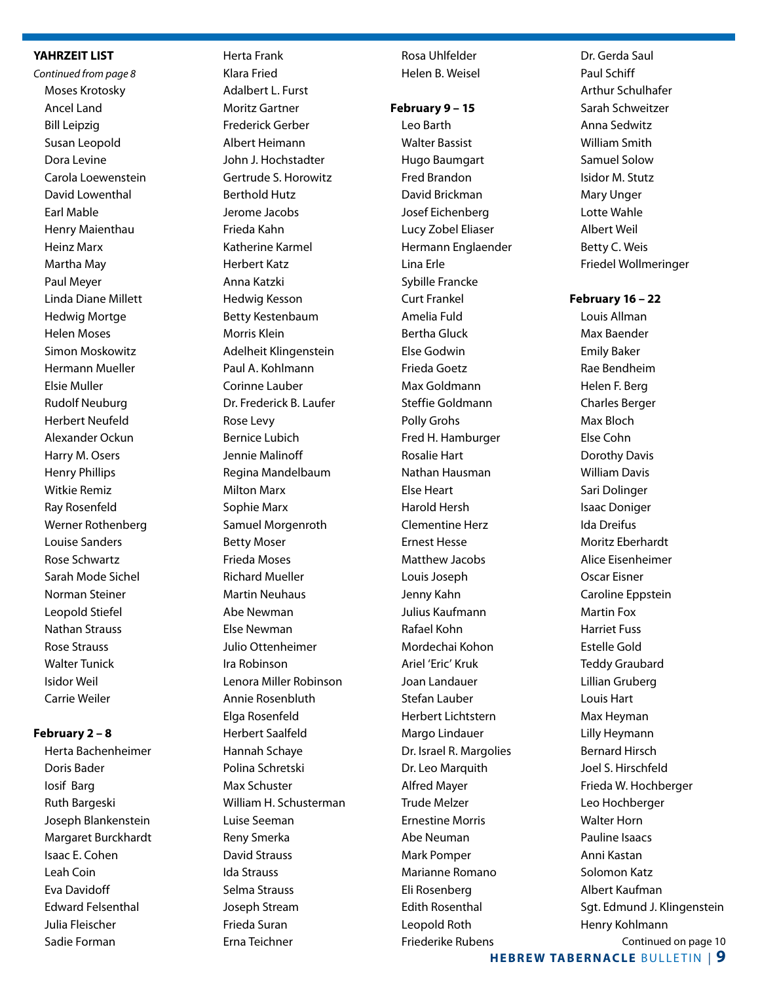#### **YAHRZEIT LIST**

*Continued from page 8* Moses Krotosky Ancel Land Bill Leipzig Susan Leopold Dora Levine Carola Loewenstein David Lowenthal Earl Mable Henry Maienthau Heinz Marx Martha May Paul Meyer Linda Diane Millett Hedwig Mortge Helen Moses Simon Moskowitz Hermann Mueller Elsie Muller Rudolf Neuburg Herbert Neufeld Alexander Ockun Harry M. Osers Henry Phillips Witkie Remiz Ray Rosenfeld Werner Rothenberg Louise Sanders Rose Schwartz Sarah Mode Sichel Norman Steiner Leopold Stiefel Nathan Strauss Rose Strauss Walter Tunick Isidor Weil Carrie Weiler

#### **February 2 – 8**

 Herta Bachenheimer Doris Bader Iosif Barg Ruth Bargeski Joseph Blankenstein Margaret Burckhardt Isaac E. Cohen Leah Coin Eva Davidoff Edward Felsenthal Julia Fleischer Sadie Forman

 Herta Frank Klara Fried Adalbert L. Furst Moritz Gartner Frederick Gerber Albert Heimann John J. Hochstadter Gertrude S. Horowitz Berthold Hutz Jerome Jacobs Frieda Kahn Katherine Karmel Herbert Katz Anna Katzki Hedwig Kesson Betty Kestenbaum Morris Klein Adelheit Klingenstein Paul A. Kohlmann Corinne Lauber Dr. Frederick B. Laufer Rose Levy Bernice Lubich Jennie Malinoff Regina Mandelbaum Milton Marx Sophie Marx Samuel Morgenroth Betty Moser Frieda Moses Richard Mueller Martin Neuhaus Abe Newman Else Newman Julio Ottenheimer Ira Robinson Lenora Miller Robinson Annie Rosenbluth Elga Rosenfeld Herbert Saalfeld Hannah Schaye Polina Schretski Max Schuster William H. Schusterman Luise Seeman Reny Smerka David Strauss Ida Strauss Selma Strauss Joseph Stream

 Frieda Suran Erna Teichner  Rosa Uhlfelder Helen B. Weisel

#### **February 9 – 15**

Leo Barth Walter Bassist Hugo Baumgart Fred Brandon David Brickman Josef Eichenberg Lucy Zobel Eliaser Hermann Englaender Lina Erle Sybille Francke Curt Frankel Amelia Fuld Bertha Gluck Else Godwin Frieda Goetz Max Goldmann Steffie Goldmann Polly Grohs Fred H. Hamburger Rosalie Hart Nathan Hausman Else Heart Harold Hersh Clementine Herz Ernest Hesse Matthew Jacobs Louis Joseph Jenny Kahn Julius Kaufmann Rafael Kohn Mordechai Kohon Ariel 'Eric' Kruk Joan Landauer Stefan Lauber Herbert Lichtstern Margo Lindauer Dr. Israel R. Margolies Dr. Leo Marquith Alfred Mayer Trude Melzer Ernestine Morris Abe Neuman Mark Pomper Marianne Romano Eli Rosenberg Edith Rosenthal Leopold Roth Friederike Rubens

 Dr. Gerda Saul Paul Schiff Arthur Schulhafer Sarah Schweitzer Anna Sedwitz William Smith Samuel Solow Isidor M. Stutz Mary Unger Lotte Wahle Albert Weil Betty C. Weis Friedel Wollmeringer

**February 16 – 22** Louis Allman

> Max Baender Emily Baker Rae Bendheim Helen F. Berg Charles Berger Max Bloch Else Cohn Dorothy Davis William Davis Sari Dolinger Isaac Doniger Ida Dreifus Moritz Eberhardt Alice Eisenheimer Oscar Eisner Caroline Eppstein Martin Fox Harriet Fuss Estelle Gold Teddy Graubard Lillian Gruberg Louis Hart Max Heyman Lilly Heymann Bernard Hirsch Joel S. Hirschfeld Frieda W. Hochberger Leo Hochberger Walter Horn Pauline Isaacs Anni Kastan Solomon Katz Albert Kaufman Sgt. Edmund J. Klingenstein Henry Kohlmann Continued on page 10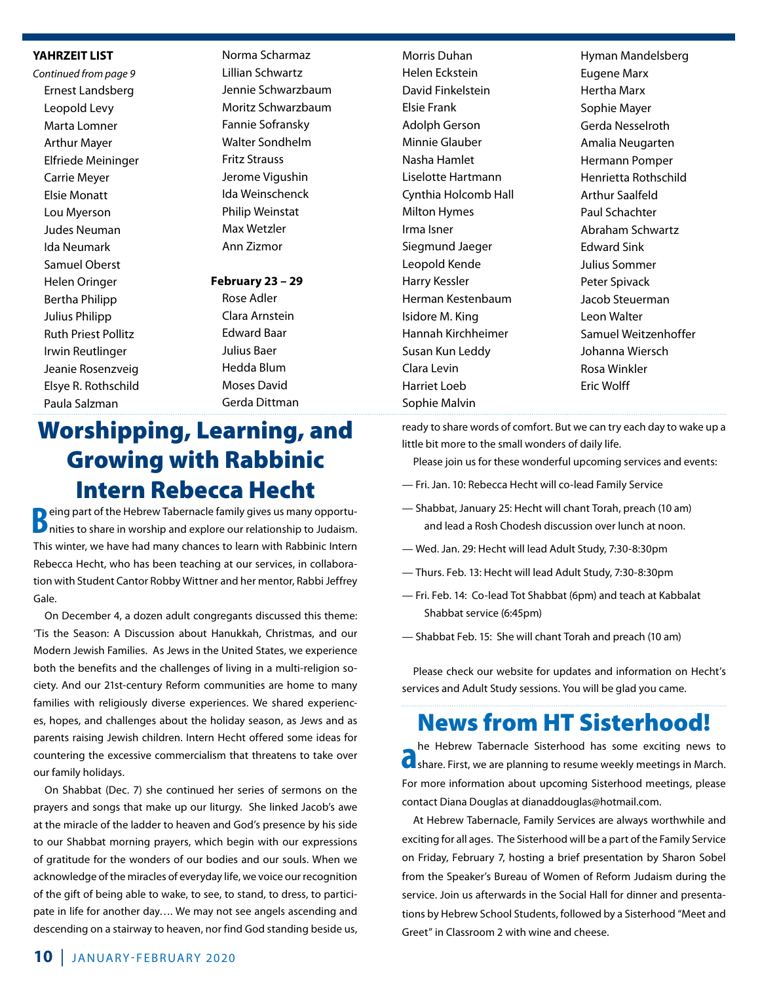#### **YAHRZEIT LIST**

*Continued from page 9* Ernest Landsberg Leopold Levy Marta Lomner Arthur Mayer Elfriede Meininger Carrie Meyer Elsie Monatt Lou Myerson Judes Neuman Ida Neumark Samuel Oberst Helen Oringer Bertha Philipp Julius Philipp Ruth Priest Pollitz Irwin Reutlinger Jeanie Rosenzveig Elsye R. Rothschild Paula Salzman

 Norma Scharmaz Lillian Schwartz Jennie Schwarzbaum Moritz Schwarzbaum Fannie Sofransky Walter Sondhelm Fritz Strauss Jerome Vigushin Ida Weinschenck Philip Weinstat Max Wetzler Ann Zizmor

#### **February 23 – 29**

 Rose Adler Clara Arnstein Edward Baar Julius Baer Hedda Blum Moses David Gerda Dittman Morris Duhan Helen Eckstein David Finkelstein Elsie Frank Adolph Gerson Minnie Glauber Nasha Hamlet Liselotte Hartmann Cynthia Holcomb Hall Milton Hymes Irma Isner Siegmund Jaeger Leopold Kende Harry Kessler Herman Kestenbaum Isidore M. King Hannah Kirchheimer Susan Kun Leddy Clara Levin Harriet Loeb Sophie Malvin

 Hyman Mandelsberg Eugene Marx Hertha Marx Sophie Mayer Gerda Nesselroth Amalia Neugarten Hermann Pomper Henrietta Rothschild Arthur Saalfeld Paul Schachter Abraham Schwartz Edward Sink Julius Sommer Peter Spivack Jacob Steuerman Leon Walter Samuel Weitzenhoffer Johanna Wiersch Rosa Winkler Eric Wolff

## Worshipping, Learning, and Growing with Rabbinic Intern Rebecca Hecht

**B**eing part of the Hebrew Tabernacle family gives us many opportunities to share in worship and explore our relationship to Judaism. This winter, we have had many chances to learn with Rabbinic Intern Rebecca Hecht, who has been teaching at our services, in collaboration with Student Cantor Robby Wittner and her mentor, Rabbi Jeffrey Gale.

On December 4, a dozen adult congregants discussed this theme: 'Tis the Season: A Discussion about Hanukkah, Christmas, and our Modern Jewish Families. As Jews in the United States, we experience both the benefits and the challenges of living in a multi-religion society. And our 21st-century Reform communities are home to many families with religiously diverse experiences. We shared experiences, hopes, and challenges about the holiday season, as Jews and as parents raising Jewish children. Intern Hecht offered some ideas for countering the excessive commercialism that threatens to take over our family holidays.

On Shabbat (Dec. 7) she continued her series of sermons on the prayers and songs that make up our liturgy. She linked Jacob's awe at the miracle of the ladder to heaven and God's presence by his side to our Shabbat morning prayers, which begin with our expressions of gratitude for the wonders of our bodies and our souls. When we acknowledge of the miracles of everyday life, we voice our recognition of the gift of being able to wake, to see, to stand, to dress, to participate in life for another day…. We may not see angels ascending and descending on a stairway to heaven, nor find God standing beside us,

ready to share words of comfort. But we can try each day to wake up a little bit more to the small wonders of daily life.

Please join us for these wonderful upcoming services and events:

- Fri. Jan. 10: Rebecca Hecht will co-lead Family Service
- Shabbat, January 25: Hecht will chant Torah, preach (10 am) and lead a Rosh Chodesh discussion over lunch at noon.
- Wed. Jan. 29: Hecht will lead Adult Study, 7:30-8:30pm
- Thurs. Feb. 13: Hecht will lead Adult Study, 7:30-8:30pm
- Fri. Feb. 14: Co-lead Tot Shabbat (6pm) and teach at Kabbalat Shabbat service (6:45pm)
- Shabbat Feb. 15: She will chant Torah and preach (10 am)

Please check our website for updates and information on Hecht's services and Adult Study sessions. You will be glad you came.

### News from HT Sisterhood!

he Hebrew Tabernacle Sisterhood has some exciting news to share. First, we are planning to resume weekly meetings in March. he Hebrew Tabernacle Sisterhood has some exciting news to For more information about upcoming Sisterhood meetings, please contact Diana Douglas at dianaddouglas@hotmail.com.

 At Hebrew Tabernacle, Family Services are always worthwhile and exciting for all ages. The Sisterhood will be a part of the Family Service on Friday, February 7, hosting a brief presentation by Sharon Sobel from the Speaker's Bureau of Women of Reform Judaism during the service. Join us afterwards in the Social Hall for dinner and presentations by Hebrew School Students, followed by a Sisterhood "Meet and Greet" in Classroom 2 with wine and cheese.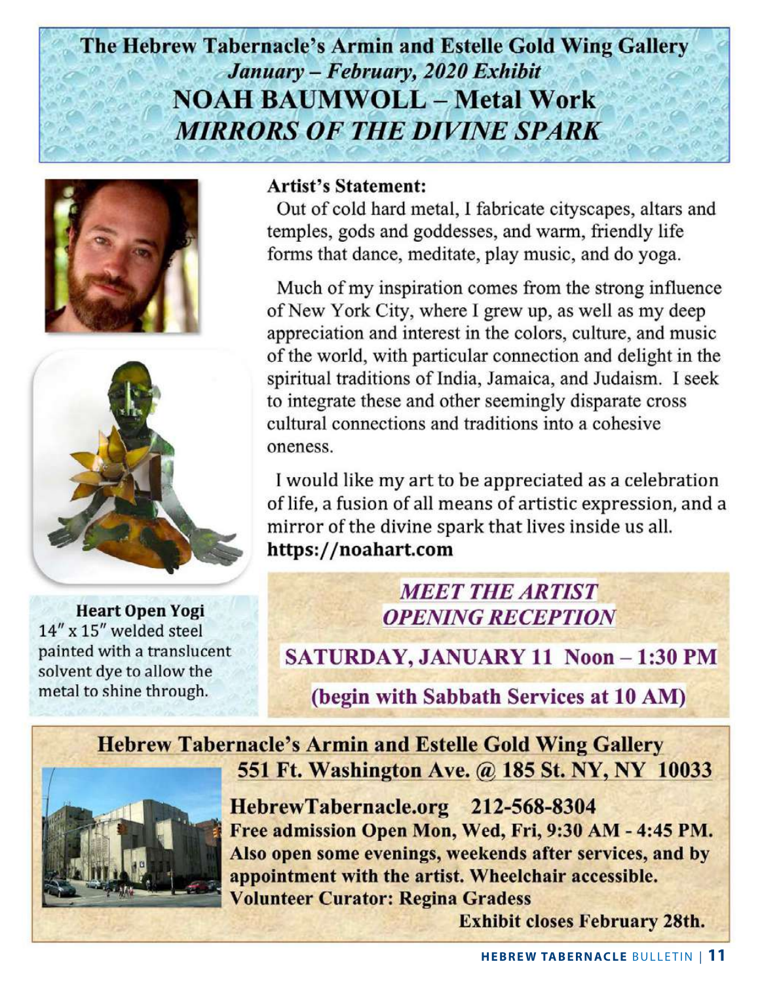The Hebrew Tabernacle's Armin and Estelle Gold Wing Gallery January - February, 2020 Exhibit **NOAH BAUMWOLL - Metal Work MIRRORS OF THE DIVINE SPARK** 





**Heart Open Yogi** 14" x 15" welded steel painted with a translucent solvent dye to allow the metal to shine through.

#### **Artist's Statement:**

Out of cold hard metal, I fabricate cityscapes, altars and temples, gods and goddesses, and warm, friendly life forms that dance, meditate, play music, and do yoga.

Much of my inspiration comes from the strong influence of New York City, where I grew up, as well as my deep appreciation and interest in the colors, culture, and music of the world, with particular connection and delight in the spiritual traditions of India, Jamaica, and Judaism. I seek to integrate these and other seemingly disparate cross cultural connections and traditions into a cohesive oneness.

I would like my art to be appreciated as a celebration of life, a fusion of all means of artistic expression, and a mirror of the divine spark that lives inside us all. https://noahart.com

### **MEET THE ARTIST OPENING RECEPTION**

SATURDAY, JANUARY 11 Noon - 1:30 PM

(begin with Sabbath Services at 10 AM)

**Hebrew Tabernacle's Armin and Estelle Gold Wing Gallery** 551 Ft. Washington Ave. @ 185 St. NY, NY 10033



HebrewTabernacle.org 212-568-8304 Free admission Open Mon, Wed, Fri, 9:30 AM - 4:45 PM. Also open some evenings, weekends after services, and by appointment with the artist. Wheelchair accessible. **Volunteer Curator: Regina Gradess** 

**Exhibit closes February 28th.**